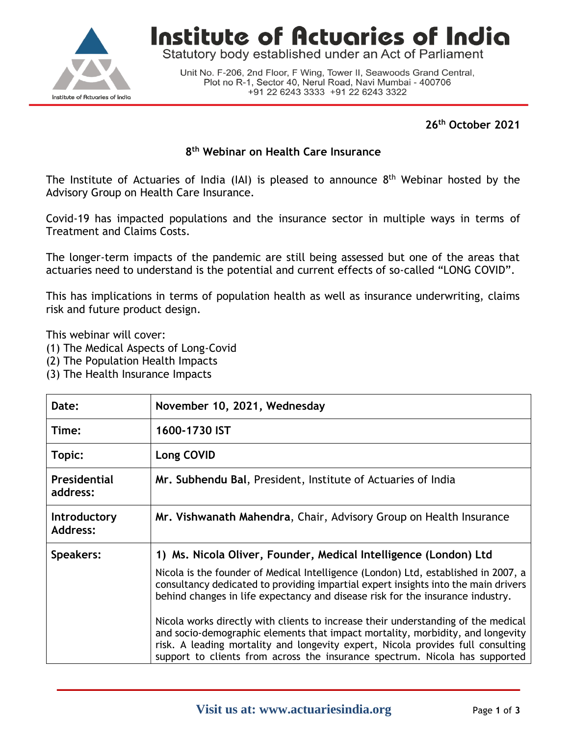

**Institute of Actuaries of India** 

Statutory body established under an Act of Parliament

Unit No. F-206, 2nd Floor, F Wing, Tower II, Seawoods Grand Central, Plot no R-1, Sector 40, Nerul Road, Navi Mumbai - 400706 +91 22 6243 3333 +91 22 6243 3322

### **26th October 2021**

#### **8 th Webinar on Health Care Insurance**

The Institute of Actuaries of India (IAI) is pleased to announce  $8<sup>th</sup>$  Webinar hosted by the Advisory Group on Health Care Insurance.

Covid-19 has impacted populations and the insurance sector in multiple ways in terms of Treatment and Claims Costs.

The longer-term impacts of the pandemic are still being assessed but one of the areas that actuaries need to understand is the potential and current effects of so-called "LONG COVID".

This has implications in terms of population health as well as insurance underwriting, claims risk and future product design.

This webinar will cover:

- (1) The Medical Aspects of Long-Covid
- (2) The Population Health Impacts
- (3) The Health Insurance Impacts

| November 10, 2021, Wednesday                                                                                                                                                                                                                                                                                                                                                                                                                                                                                                                                                             |  |
|------------------------------------------------------------------------------------------------------------------------------------------------------------------------------------------------------------------------------------------------------------------------------------------------------------------------------------------------------------------------------------------------------------------------------------------------------------------------------------------------------------------------------------------------------------------------------------------|--|
| 1600-1730 IST                                                                                                                                                                                                                                                                                                                                                                                                                                                                                                                                                                            |  |
| Long COVID                                                                                                                                                                                                                                                                                                                                                                                                                                                                                                                                                                               |  |
| Mr. Subhendu Bal, President, Institute of Actuaries of India                                                                                                                                                                                                                                                                                                                                                                                                                                                                                                                             |  |
| Mr. Vishwanath Mahendra, Chair, Advisory Group on Health Insurance                                                                                                                                                                                                                                                                                                                                                                                                                                                                                                                       |  |
| 1) Ms. Nicola Oliver, Founder, Medical Intelligence (London) Ltd<br>Nicola is the founder of Medical Intelligence (London) Ltd, established in 2007, a<br>consultancy dedicated to providing impartial expert insights into the main drivers<br>behind changes in life expectancy and disease risk for the insurance industry.<br>Nicola works directly with clients to increase their understanding of the medical<br>and socio-demographic elements that impact mortality, morbidity, and longevity<br>risk. A leading mortality and longevity expert, Nicola provides full consulting |  |
|                                                                                                                                                                                                                                                                                                                                                                                                                                                                                                                                                                                          |  |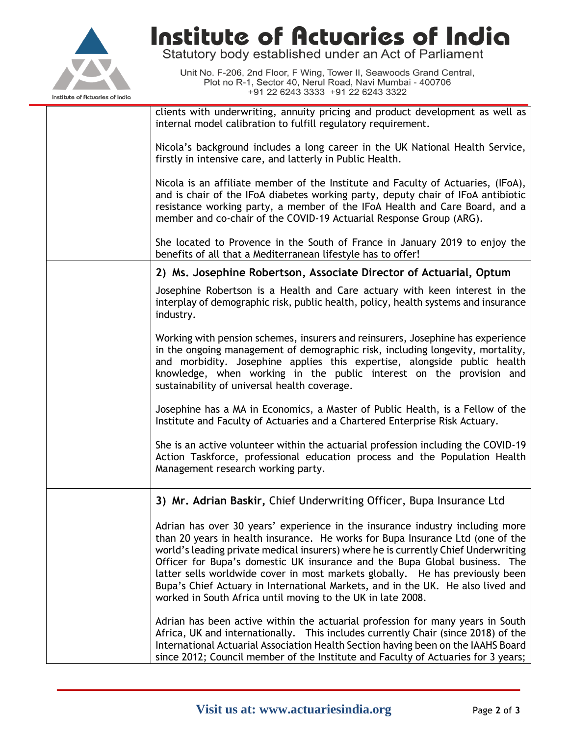

# Institute of Actuaries of India

Statutory body established under an Act of Parliament

Unit No. F-206, 2nd Floor, F Wing, Tower II, Seawoods Grand Central,<br>Plot no R-1, Sector 40, Nerul Road, Navi Mumbai - 400706 +91 22 6243 3333 +91 22 6243 3322

| clients with underwriting, annuity pricing and product development as well as<br>internal model calibration to fulfill regulatory requirement.                                                                                                                                                                                                                                                                                                                                                                                                                         |  |  |
|------------------------------------------------------------------------------------------------------------------------------------------------------------------------------------------------------------------------------------------------------------------------------------------------------------------------------------------------------------------------------------------------------------------------------------------------------------------------------------------------------------------------------------------------------------------------|--|--|
| Nicola's background includes a long career in the UK National Health Service,<br>firstly in intensive care, and latterly in Public Health.                                                                                                                                                                                                                                                                                                                                                                                                                             |  |  |
| Nicola is an affiliate member of the Institute and Faculty of Actuaries, (IFoA),<br>and is chair of the IFoA diabetes working party, deputy chair of IFoA antibiotic<br>resistance working party, a member of the IFoA Health and Care Board, and a<br>member and co-chair of the COVID-19 Actuarial Response Group (ARG).                                                                                                                                                                                                                                             |  |  |
| She located to Provence in the South of France in January 2019 to enjoy the<br>benefits of all that a Mediterranean lifestyle has to offer!                                                                                                                                                                                                                                                                                                                                                                                                                            |  |  |
| 2) Ms. Josephine Robertson, Associate Director of Actuarial, Optum                                                                                                                                                                                                                                                                                                                                                                                                                                                                                                     |  |  |
| Josephine Robertson is a Health and Care actuary with keen interest in the<br>interplay of demographic risk, public health, policy, health systems and insurance<br>industry.                                                                                                                                                                                                                                                                                                                                                                                          |  |  |
| Working with pension schemes, insurers and reinsurers, Josephine has experience<br>in the ongoing management of demographic risk, including longevity, mortality,<br>and morbidity. Josephine applies this expertise, alongside public health<br>knowledge, when working in the public interest on the provision and<br>sustainability of universal health coverage.                                                                                                                                                                                                   |  |  |
| Josephine has a MA in Economics, a Master of Public Health, is a Fellow of the<br>Institute and Faculty of Actuaries and a Chartered Enterprise Risk Actuary.                                                                                                                                                                                                                                                                                                                                                                                                          |  |  |
| She is an active volunteer within the actuarial profession including the COVID-19<br>Action Taskforce, professional education process and the Population Health<br>Management research working party.                                                                                                                                                                                                                                                                                                                                                                  |  |  |
| 3) Mr. Adrian Baskir, Chief Underwriting Officer, Bupa Insurance Ltd                                                                                                                                                                                                                                                                                                                                                                                                                                                                                                   |  |  |
| Adrian has over 30 years' experience in the insurance industry including more<br>than 20 years in health insurance. He works for Bupa Insurance Ltd (one of the<br>world's leading private medical insurers) where he is currently Chief Underwriting<br>Officer for Bupa's domestic UK insurance and the Bupa Global business. The<br>latter sells worldwide cover in most markets globally. He has previously been<br>Bupa's Chief Actuary in International Markets, and in the UK. He also lived and<br>worked in South Africa until moving to the UK in late 2008. |  |  |
| Adrian has been active within the actuarial profession for many years in South<br>Africa, UK and internationally. This includes currently Chair (since 2018) of the<br>International Actuarial Association Health Section having been on the IAAHS Board<br>since 2012; Council member of the Institute and Faculty of Actuaries for 3 years;                                                                                                                                                                                                                          |  |  |